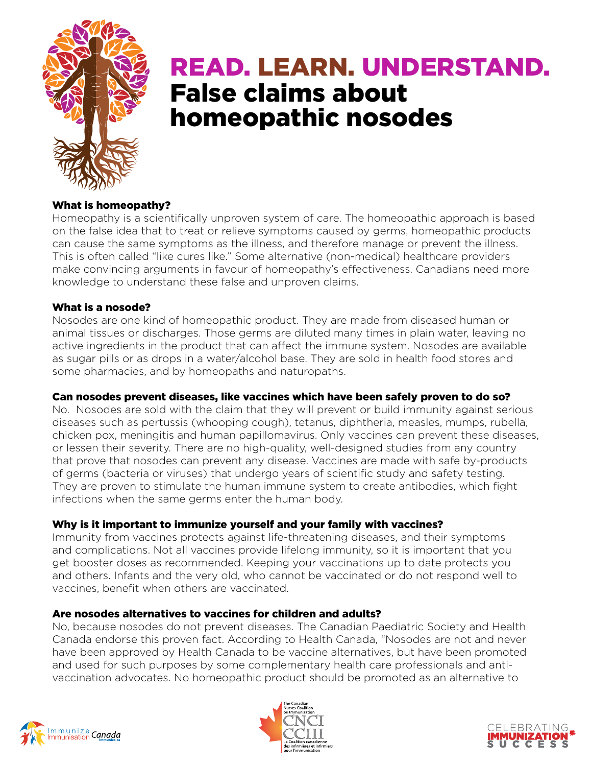

# READ. LEARN. UNDERSTAND. False claims about homeopathic nosodes

# What is homeopathy?

Homeopathy is a scientifically unproven system of care. The homeopathic approach is based on the false idea that to treat or relieve symptoms caused by germs, homeopathic products can cause the same symptoms as the illness, and therefore manage or prevent the illness. This is often called "like cures like." Some alternative (non-medical) healthcare providers make convincing arguments in favour of homeopathy's effectiveness. Canadians need more knowledge to understand these false and unproven claims.

### What is a nosode?

Nosodes are one kind of homeopathic product. They are made from diseased human or animal tissues or discharges. Those germs are diluted many times in plain water, leaving no active ingredients in the product that can affect the immune system. Nosodes are available as sugar pills or as drops in a water/alcohol base. They are sold in health food stores and some pharmacies, and by homeopaths and naturopaths.

# Can nosodes prevent diseases, like vaccines which have been safely proven to do so?

No. Nosodes are sold with the claim that they will prevent or build immunity against serious diseases such as pertussis (whooping cough), tetanus, diphtheria, measles, mumps, rubella, chicken pox, meningitis and human papillomavirus. Only vaccines can prevent these diseases, or lessen their severity. There are no high-quality, well-designed studies from any country that prove that nosodes can prevent any disease. Vaccines are made with safe by-products of germs (bacteria or viruses) that undergo years of scientific study and safety testing. They are proven to stimulate the human immune system to create antibodies, which fight infections when the same germs enter the human body.

# Why is it important to immunize yourself and your family with vaccines?

Immunity from vaccines protects against life-threatening diseases, and their symptoms and complications. Not all vaccines provide lifelong immunity, so it is important that you get booster doses as recommended. Keeping your vaccinations up to date protects you and others. Infants and the very old, who cannot be vaccinated or do not respond well to vaccines, benefit when others are vaccinated.

### Are nosodes alternatives to vaccines for children and adults?

No, because nosodes do not prevent diseases. The Canadian Paediatric Society and Health Canada endorse this proven fact. According to Health Canada, "Nosodes are not and never have been approved by Health Canada to be vaccine alternatives, but have been promoted and used for such purposes by some complementary health care professionals and antivaccination advocates. No homeopathic product should be promoted as an alternative to